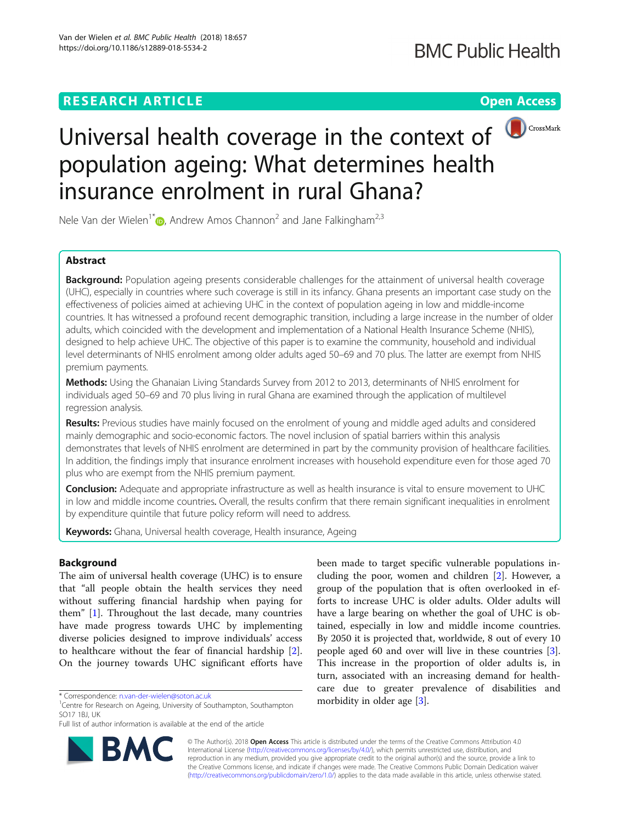# **RESEARCH ARTICLE Example 2018 12:30 THE Open Access**



# Universal health coverage in the context of **O**CrossMark population ageing: What determines health insurance enrolment in rural Ghana?

Nele Van der Wielen<sup>1[\\*](http://orcid.org/0000-0002-0614-1491)</sup> $\bullet$ , Andrew Amos Channon<sup>2</sup> and Jane Falkingham<sup>2,3</sup>

# Abstract

**Background:** Population ageing presents considerable challenges for the attainment of universal health coverage (UHC), especially in countries where such coverage is still in its infancy. Ghana presents an important case study on the effectiveness of policies aimed at achieving UHC in the context of population ageing in low and middle-income countries. It has witnessed a profound recent demographic transition, including a large increase in the number of older adults, which coincided with the development and implementation of a National Health Insurance Scheme (NHIS), designed to help achieve UHC. The objective of this paper is to examine the community, household and individual level determinants of NHIS enrolment among older adults aged 50–69 and 70 plus. The latter are exempt from NHIS premium payments.

Methods: Using the Ghanaian Living Standards Survey from 2012 to 2013, determinants of NHIS enrolment for individuals aged 50–69 and 70 plus living in rural Ghana are examined through the application of multilevel regression analysis.

Results: Previous studies have mainly focused on the enrolment of young and middle aged adults and considered mainly demographic and socio-economic factors. The novel inclusion of spatial barriers within this analysis demonstrates that levels of NHIS enrolment are determined in part by the community provision of healthcare facilities. In addition, the findings imply that insurance enrolment increases with household expenditure even for those aged 70 plus who are exempt from the NHIS premium payment.

Conclusion: Adequate and appropriate infrastructure as well as health insurance is vital to ensure movement to UHC in low and middle income countries. Overall, the results confirm that there remain significant inequalities in enrolment by expenditure quintile that future policy reform will need to address.

Keywords: Ghana, Universal health coverage, Health insurance, Ageing

# Background

The aim of universal health coverage (UHC) is to ensure that "all people obtain the health services they need without suffering financial hardship when paying for them" [[1\]](#page-11-0). Throughout the last decade, many countries have made progress towards UHC by implementing diverse policies designed to improve individuals' access to healthcare without the fear of financial hardship [\[2](#page-11-0)]. On the journey towards UHC significant efforts have

BA

Full list of author information is available at the end of the article



© The Author(s). 2018 Open Access This article is distributed under the terms of the Creative Commons Attribution 4.0 International License [\(http://creativecommons.org/licenses/by/4.0/](http://creativecommons.org/licenses/by/4.0/)), which permits unrestricted use, distribution, and reproduction in any medium, provided you give appropriate credit to the original author(s) and the source, provide a link to the Creative Commons license, and indicate if changes were made. The Creative Commons Public Domain Dedication waiver [\(http://creativecommons.org/publicdomain/zero/1.0/](http://creativecommons.org/publicdomain/zero/1.0/)) applies to the data made available in this article, unless otherwise stated.

SO17 1BJ, UK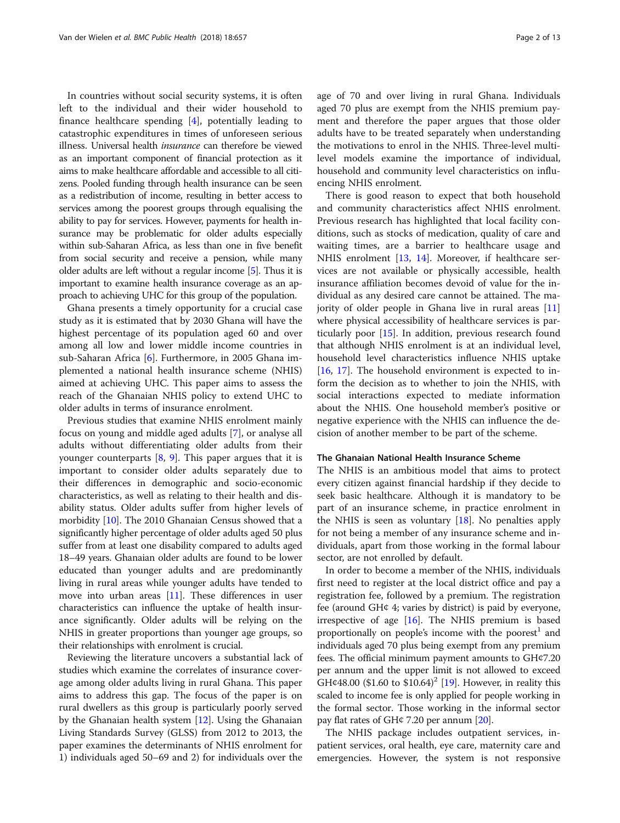In countries without social security systems, it is often left to the individual and their wider household to finance healthcare spending [[4\]](#page-11-0), potentially leading to catastrophic expenditures in times of unforeseen serious illness. Universal health insurance can therefore be viewed as an important component of financial protection as it aims to make healthcare affordable and accessible to all citizens. Pooled funding through health insurance can be seen as a redistribution of income, resulting in better access to services among the poorest groups through equalising the ability to pay for services. However, payments for health insurance may be problematic for older adults especially within sub-Saharan Africa, as less than one in five benefit from social security and receive a pension, while many older adults are left without a regular income [[5](#page-11-0)]. Thus it is important to examine health insurance coverage as an approach to achieving UHC for this group of the population.

Ghana presents a timely opportunity for a crucial case study as it is estimated that by 2030 Ghana will have the highest percentage of its population aged 60 and over among all low and lower middle income countries in sub-Saharan Africa [\[6](#page-11-0)]. Furthermore, in 2005 Ghana implemented a national health insurance scheme (NHIS) aimed at achieving UHC. This paper aims to assess the reach of the Ghanaian NHIS policy to extend UHC to older adults in terms of insurance enrolment.

Previous studies that examine NHIS enrolment mainly focus on young and middle aged adults [[7\]](#page-11-0), or analyse all adults without differentiating older adults from their younger counterparts [\[8,](#page-11-0) [9\]](#page-11-0). This paper argues that it is important to consider older adults separately due to their differences in demographic and socio-economic characteristics, as well as relating to their health and disability status. Older adults suffer from higher levels of morbidity [\[10\]](#page-11-0). The 2010 Ghanaian Census showed that a significantly higher percentage of older adults aged 50 plus suffer from at least one disability compared to adults aged 18–49 years. Ghanaian older adults are found to be lower educated than younger adults and are predominantly living in rural areas while younger adults have tended to move into urban areas [[11](#page-11-0)]. These differences in user characteristics can influence the uptake of health insurance significantly. Older adults will be relying on the NHIS in greater proportions than younger age groups, so their relationships with enrolment is crucial.

Reviewing the literature uncovers a substantial lack of studies which examine the correlates of insurance coverage among older adults living in rural Ghana. This paper aims to address this gap. The focus of the paper is on rural dwellers as this group is particularly poorly served by the Ghanaian health system [\[12](#page-11-0)]. Using the Ghanaian Living Standards Survey (GLSS) from 2012 to 2013, the paper examines the determinants of NHIS enrolment for 1) individuals aged 50–69 and 2) for individuals over the age of 70 and over living in rural Ghana. Individuals aged 70 plus are exempt from the NHIS premium payment and therefore the paper argues that those older adults have to be treated separately when understanding the motivations to enrol in the NHIS. Three-level multilevel models examine the importance of individual, household and community level characteristics on influencing NHIS enrolment.

There is good reason to expect that both household and community characteristics affect NHIS enrolment. Previous research has highlighted that local facility conditions, such as stocks of medication, quality of care and waiting times, are a barrier to healthcare usage and NHIS enrolment [\[13,](#page-11-0) [14\]](#page-11-0). Moreover, if healthcare services are not available or physically accessible, health insurance affiliation becomes devoid of value for the individual as any desired care cannot be attained. The majority of older people in Ghana live in rural areas [[11](#page-11-0)] where physical accessibility of healthcare services is particularly poor [[15](#page-11-0)]. In addition, previous research found that although NHIS enrolment is at an individual level, household level characteristics influence NHIS uptake [[16,](#page-11-0) [17\]](#page-11-0). The household environment is expected to inform the decision as to whether to join the NHIS, with social interactions expected to mediate information about the NHIS. One household member's positive or negative experience with the NHIS can influence the decision of another member to be part of the scheme.

#### The Ghanaian National Health Insurance Scheme

The NHIS is an ambitious model that aims to protect every citizen against financial hardship if they decide to seek basic healthcare. Although it is mandatory to be part of an insurance scheme, in practice enrolment in the NHIS is seen as voluntary [[18](#page-11-0)]. No penalties apply for not being a member of any insurance scheme and individuals, apart from those working in the formal labour sector, are not enrolled by default.

In order to become a member of the NHIS, individuals first need to register at the local district office and pay a registration fee, followed by a premium. The registration fee (around GH¢ 4; varies by district) is paid by everyone, irrespective of age [\[16\]](#page-11-0). The NHIS premium is based proportionally on people's income with the poorest<sup>1</sup> and individuals aged 70 plus being exempt from any premium fees. The official minimum payment amounts to GH¢7.20 per annum and the upper limit is not allowed to exceed GH $\alpha$ 48.00 (\$1.60 to \$10.64)<sup>2</sup> [[19](#page-12-0)]. However, in reality this scaled to income fee is only applied for people working in the formal sector. Those working in the informal sector pay flat rates of GH¢ 7.20 per annum [\[20](#page-12-0)].

The NHIS package includes outpatient services, inpatient services, oral health, eye care, maternity care and emergencies. However, the system is not responsive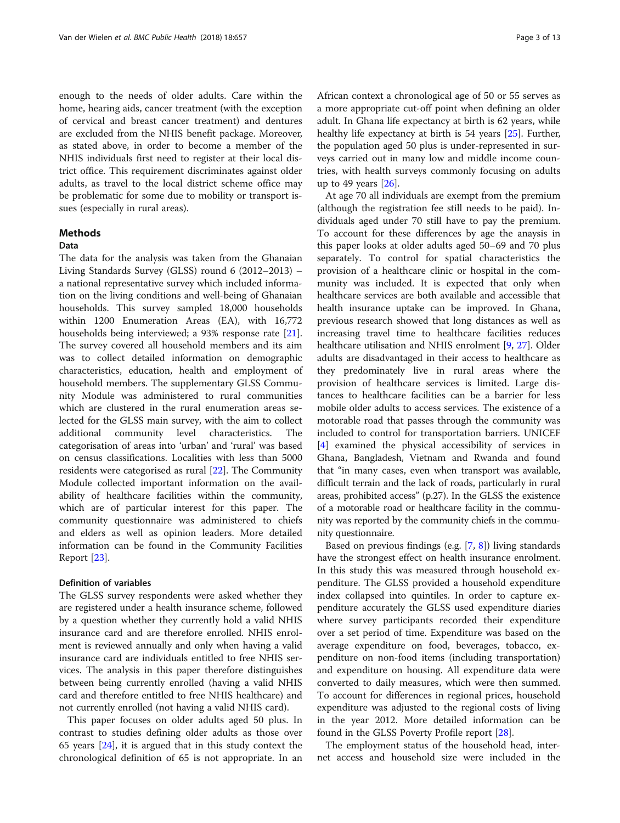enough to the needs of older adults. Care within the home, hearing aids, cancer treatment (with the exception of cervical and breast cancer treatment) and dentures are excluded from the NHIS benefit package. Moreover, as stated above, in order to become a member of the NHIS individuals first need to register at their local district office. This requirement discriminates against older adults, as travel to the local district scheme office may be problematic for some due to mobility or transport issues (especially in rural areas).

# Methods

### Data

The data for the analysis was taken from the Ghanaian Living Standards Survey (GLSS) round 6 (2012–2013) – a national representative survey which included information on the living conditions and well-being of Ghanaian households. This survey sampled 18,000 households within 1200 Enumeration Areas (EA), with 16,772 households being interviewed; a 93% response rate [\[21](#page-12-0)]. The survey covered all household members and its aim was to collect detailed information on demographic characteristics, education, health and employment of household members. The supplementary GLSS Community Module was administered to rural communities which are clustered in the rural enumeration areas selected for the GLSS main survey, with the aim to collect additional community level characteristics. The categorisation of areas into 'urban' and 'rural' was based on census classifications. Localities with less than 5000 residents were categorised as rural [\[22](#page-12-0)]. The Community Module collected important information on the availability of healthcare facilities within the community, which are of particular interest for this paper. The community questionnaire was administered to chiefs and elders as well as opinion leaders. More detailed information can be found in the Community Facilities Report [\[23](#page-12-0)].

#### Definition of variables

The GLSS survey respondents were asked whether they are registered under a health insurance scheme, followed by a question whether they currently hold a valid NHIS insurance card and are therefore enrolled. NHIS enrolment is reviewed annually and only when having a valid insurance card are individuals entitled to free NHIS services. The analysis in this paper therefore distinguishes between being currently enrolled (having a valid NHIS card and therefore entitled to free NHIS healthcare) and not currently enrolled (not having a valid NHIS card).

This paper focuses on older adults aged 50 plus. In contrast to studies defining older adults as those over 65 years [[24\]](#page-12-0), it is argued that in this study context the chronological definition of 65 is not appropriate. In an African context a chronological age of 50 or 55 serves as a more appropriate cut-off point when defining an older adult. In Ghana life expectancy at birth is 62 years, while healthy life expectancy at birth is 54 years [[25\]](#page-12-0). Further, the population aged 50 plus is under-represented in surveys carried out in many low and middle income countries, with health surveys commonly focusing on adults up to 49 years  $[26]$  $[26]$ .

At age 70 all individuals are exempt from the premium (although the registration fee still needs to be paid). Individuals aged under 70 still have to pay the premium. To account for these differences by age the anaysis in this paper looks at older adults aged 50–69 and 70 plus separately. To control for spatial characteristics the provision of a healthcare clinic or hospital in the community was included. It is expected that only when healthcare services are both available and accessible that health insurance uptake can be improved. In Ghana, previous research showed that long distances as well as increasing travel time to healthcare facilities reduces healthcare utilisation and NHIS enrolment [[9,](#page-11-0) [27\]](#page-12-0). Older adults are disadvantaged in their access to healthcare as they predominately live in rural areas where the provision of healthcare services is limited. Large distances to healthcare facilities can be a barrier for less mobile older adults to access services. The existence of a motorable road that passes through the community was included to control for transportation barriers. UNICEF [[4\]](#page-11-0) examined the physical accessibility of services in Ghana, Bangladesh, Vietnam and Rwanda and found that "in many cases, even when transport was available, difficult terrain and the lack of roads, particularly in rural areas, prohibited access" (p.27). In the GLSS the existence of a motorable road or healthcare facility in the community was reported by the community chiefs in the community questionnaire.

Based on previous findings (e.g. [[7,](#page-11-0) [8\]](#page-11-0)) living standards have the strongest effect on health insurance enrolment. In this study this was measured through household expenditure. The GLSS provided a household expenditure index collapsed into quintiles. In order to capture expenditure accurately the GLSS used expenditure diaries where survey participants recorded their expenditure over a set period of time. Expenditure was based on the average expenditure on food, beverages, tobacco, expenditure on non-food items (including transportation) and expenditure on housing. All expenditure data were converted to daily measures, which were then summed. To account for differences in regional prices, household expenditure was adjusted to the regional costs of living in the year 2012. More detailed information can be found in the GLSS Poverty Profile report [[28\]](#page-12-0).

The employment status of the household head, internet access and household size were included in the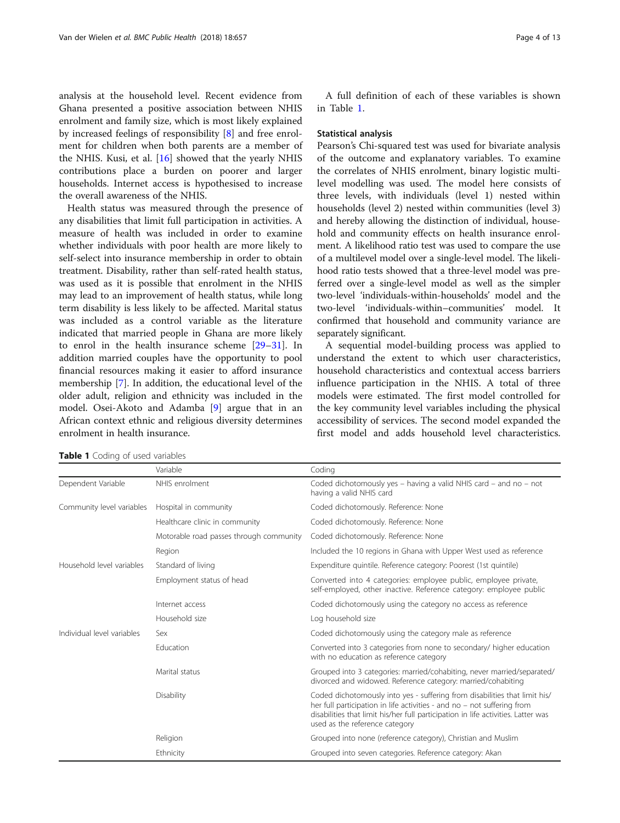analysis at the household level. Recent evidence from Ghana presented a positive association between NHIS enrolment and family size, which is most likely explained by increased feelings of responsibility [\[8](#page-11-0)] and free enrolment for children when both parents are a member of the NHIS. Kusi, et al.  $[16]$  showed that the yearly NHIS contributions place a burden on poorer and larger households. Internet access is hypothesised to increase the overall awareness of the NHIS.

Health status was measured through the presence of any disabilities that limit full participation in activities. A measure of health was included in order to examine whether individuals with poor health are more likely to self-select into insurance membership in order to obtain treatment. Disability, rather than self-rated health status, was used as it is possible that enrolment in the NHIS may lead to an improvement of health status, while long term disability is less likely to be affected. Marital status was included as a control variable as the literature indicated that married people in Ghana are more likely to enrol in the health insurance scheme [\[29](#page-12-0)–[31\]](#page-12-0). In addition married couples have the opportunity to pool financial resources making it easier to afford insurance membership [[7\]](#page-11-0). In addition, the educational level of the older adult, religion and ethnicity was included in the model. Osei-Akoto and Adamba [\[9](#page-11-0)] argue that in an African context ethnic and religious diversity determines enrolment in health insurance.

|  | <br>---<br>$\overline{\phantom{a}}$<br>- | $\overline{\phantom{a}}$ | . . |
|--|------------------------------------------|--------------------------|-----|
|  |                                          |                          |     |
|  |                                          |                          |     |
|  |                                          |                          |     |

A full definition of each of these variables is shown in Table 1.

#### Statistical analysis

Pearson's Chi-squared test was used for bivariate analysis of the outcome and explanatory variables. To examine the correlates of NHIS enrolment, binary logistic multilevel modelling was used. The model here consists of three levels, with individuals (level 1) nested within households (level 2) nested within communities (level 3) and hereby allowing the distinction of individual, household and community effects on health insurance enrolment. A likelihood ratio test was used to compare the use of a multilevel model over a single-level model. The likelihood ratio tests showed that a three-level model was preferred over a single-level model as well as the simpler two-level 'individuals-within-households' model and the two-level 'individuals-within–communities' model. It confirmed that household and community variance are separately significant.

A sequential model-building process was applied to understand the extent to which user characteristics, household characteristics and contextual access barriers influence participation in the NHIS. A total of three models were estimated. The first model controlled for the key community level variables including the physical accessibility of services. The second model expanded the first model and adds household level characteristics.

|                            | Variable                                | Coding                                                                                                                                                                                                                                                                       |
|----------------------------|-----------------------------------------|------------------------------------------------------------------------------------------------------------------------------------------------------------------------------------------------------------------------------------------------------------------------------|
| Dependent Variable         | NHIS enrolment                          | Coded dichotomously yes – having a valid NHIS card – and no – not<br>having a valid NHIS card                                                                                                                                                                                |
| Community level variables  | Hospital in community                   | Coded dichotomously. Reference: None                                                                                                                                                                                                                                         |
|                            | Healthcare clinic in community          | Coded dichotomously. Reference: None                                                                                                                                                                                                                                         |
|                            | Motorable road passes through community | Coded dichotomously. Reference: None                                                                                                                                                                                                                                         |
|                            | Region                                  | Included the 10 regions in Ghana with Upper West used as reference                                                                                                                                                                                                           |
| Household level variables  | Standard of living                      | Expenditure quintile. Reference category: Poorest (1st quintile)                                                                                                                                                                                                             |
|                            | Employment status of head               | Converted into 4 categories: employee public, employee private,<br>self-employed, other inactive. Reference category: employee public                                                                                                                                        |
|                            | Internet access                         | Coded dichotomously using the category no access as reference                                                                                                                                                                                                                |
|                            | Household size                          | Log household size                                                                                                                                                                                                                                                           |
| Individual level variables | Sex                                     | Coded dichotomously using the category male as reference                                                                                                                                                                                                                     |
|                            | Education                               | Converted into 3 categories from none to secondary/ higher education<br>with no education as reference category                                                                                                                                                              |
|                            | Marital status                          | Grouped into 3 categories: married/cohabiting, never married/separated/<br>divorced and widowed. Reference category: married/cohabiting                                                                                                                                      |
|                            | Disability                              | Coded dichotomously into yes - suffering from disabilities that limit his/<br>her full participation in life activities - and no - not suffering from<br>disabilities that limit his/her full participation in life activities. Latter was<br>used as the reference category |
|                            | Religion                                | Grouped into none (reference category), Christian and Muslim                                                                                                                                                                                                                 |
|                            | Ethnicity                               | Grouped into seven categories. Reference category: Akan                                                                                                                                                                                                                      |

Table 1 Coding of used variables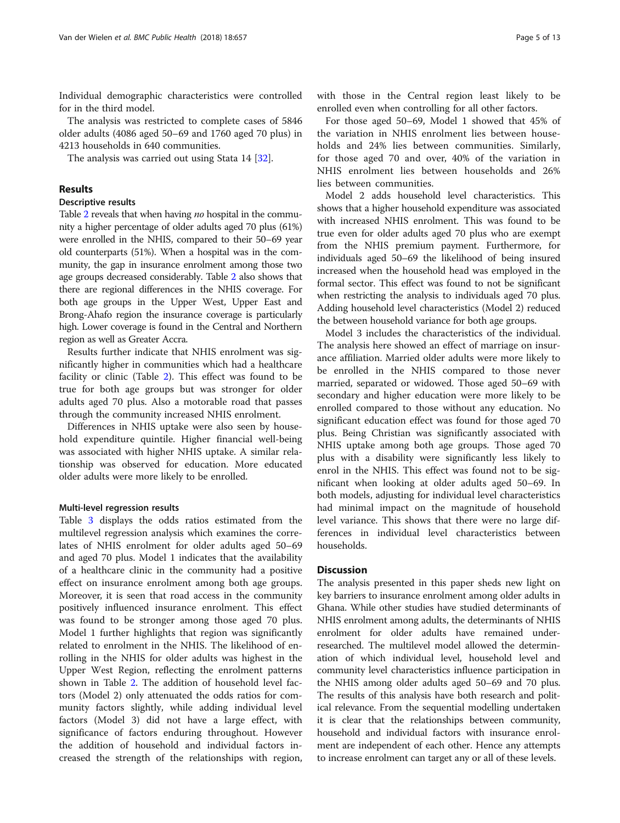Individual demographic characteristics were controlled for in the third model.

The analysis was restricted to complete cases of 5846 older adults (4086 aged 50–69 and 1760 aged 70 plus) in 4213 households in 640 communities.

The analysis was carried out using Stata 14 [[32](#page-12-0)].

# Results

# Descriptive results

Table [2](#page-5-0) reveals that when having no hospital in the community a higher percentage of older adults aged 70 plus (61%) were enrolled in the NHIS, compared to their 50–69 year old counterparts (51%). When a hospital was in the community, the gap in insurance enrolment among those two age groups decreased considerably. Table [2](#page-5-0) also shows that there are regional differences in the NHIS coverage. For both age groups in the Upper West, Upper East and Brong-Ahafo region the insurance coverage is particularly high. Lower coverage is found in the Central and Northern region as well as Greater Accra.

Results further indicate that NHIS enrolment was significantly higher in communities which had a healthcare facility or clinic (Table [2\)](#page-5-0). This effect was found to be true for both age groups but was stronger for older adults aged 70 plus. Also a motorable road that passes through the community increased NHIS enrolment.

Differences in NHIS uptake were also seen by household expenditure quintile. Higher financial well-being was associated with higher NHIS uptake. A similar relationship was observed for education. More educated older adults were more likely to be enrolled.

#### Multi-level regression results

Table [3](#page-7-0) displays the odds ratios estimated from the multilevel regression analysis which examines the correlates of NHIS enrolment for older adults aged 50–69 and aged 70 plus. Model 1 indicates that the availability of a healthcare clinic in the community had a positive effect on insurance enrolment among both age groups. Moreover, it is seen that road access in the community positively influenced insurance enrolment. This effect was found to be stronger among those aged 70 plus. Model 1 further highlights that region was significantly related to enrolment in the NHIS. The likelihood of enrolling in the NHIS for older adults was highest in the Upper West Region, reflecting the enrolment patterns shown in Table [2](#page-5-0). The addition of household level factors (Model 2) only attenuated the odds ratios for community factors slightly, while adding individual level factors (Model 3) did not have a large effect, with significance of factors enduring throughout. However the addition of household and individual factors increased the strength of the relationships with region, with those in the Central region least likely to be enrolled even when controlling for all other factors.

For those aged 50–69, Model 1 showed that 45% of the variation in NHIS enrolment lies between households and 24% lies between communities. Similarly, for those aged 70 and over, 40% of the variation in NHIS enrolment lies between households and 26% lies between communities.

Model 2 adds household level characteristics. This shows that a higher household expenditure was associated with increased NHIS enrolment. This was found to be true even for older adults aged 70 plus who are exempt from the NHIS premium payment. Furthermore, for individuals aged 50–69 the likelihood of being insured increased when the household head was employed in the formal sector. This effect was found to not be significant when restricting the analysis to individuals aged 70 plus. Adding household level characteristics (Model 2) reduced the between household variance for both age groups.

Model 3 includes the characteristics of the individual. The analysis here showed an effect of marriage on insurance affiliation. Married older adults were more likely to be enrolled in the NHIS compared to those never married, separated or widowed. Those aged 50–69 with secondary and higher education were more likely to be enrolled compared to those without any education. No significant education effect was found for those aged 70 plus. Being Christian was significantly associated with NHIS uptake among both age groups. Those aged 70 plus with a disability were significantly less likely to enrol in the NHIS. This effect was found not to be significant when looking at older adults aged 50–69. In both models, adjusting for individual level characteristics had minimal impact on the magnitude of household level variance. This shows that there were no large differences in individual level characteristics between households.

# **Discussion**

The analysis presented in this paper sheds new light on key barriers to insurance enrolment among older adults in Ghana. While other studies have studied determinants of NHIS enrolment among adults, the determinants of NHIS enrolment for older adults have remained underresearched. The multilevel model allowed the determination of which individual level, household level and community level characteristics influence participation in the NHIS among older adults aged 50–69 and 70 plus. The results of this analysis have both research and political relevance. From the sequential modelling undertaken it is clear that the relationships between community, household and individual factors with insurance enrolment are independent of each other. Hence any attempts to increase enrolment can target any or all of these levels.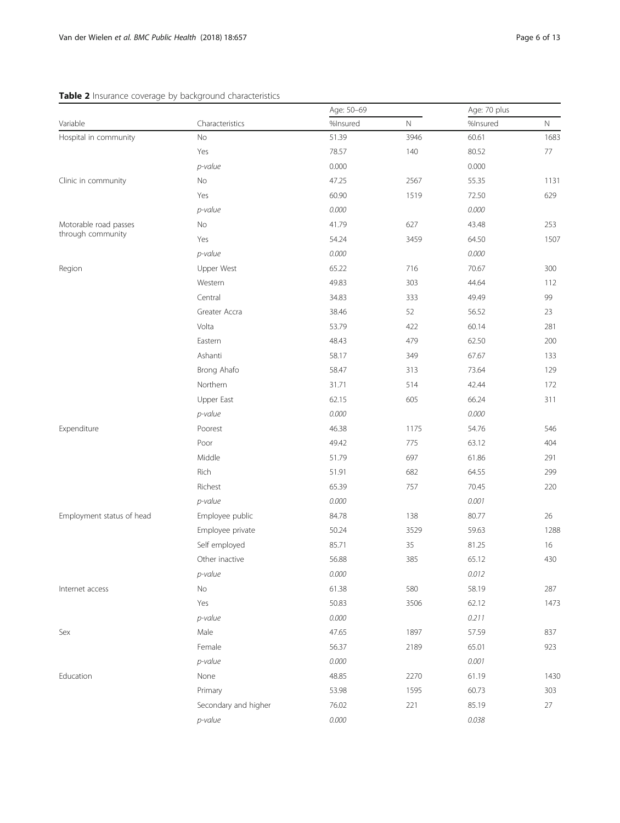# <span id="page-5-0"></span>Table 2 Insurance coverage by background characteristics

|                           |                      | Age: 50-69 |            | Age: 70 plus |            |
|---------------------------|----------------------|------------|------------|--------------|------------|
| Variable                  | Characteristics      | %Insured   | $\hbox{N}$ | %Insured     | $\hbox{N}$ |
| Hospital in community     | No                   | 51.39      | 3946       | 60.61        | 1683       |
|                           | Yes                  | 78.57      | 140        | 80.52        | 77         |
|                           | p-value              | 0.000      |            | 0.000        |            |
| Clinic in community       | <b>No</b>            | 47.25      | 2567       | 55.35        | 1131       |
|                           | Yes                  | 60.90      | 1519       | 72.50        | 629        |
|                           | p-value              | 0.000      |            | 0.000        |            |
| Motorable road passes     | No                   | 41.79      | 627        | 43.48        | 253        |
| through community         | Yes                  | 54.24      | 3459       | 64.50        | 1507       |
|                           | p-value              | 0.000      |            | 0.000        |            |
| Region                    | <b>Upper West</b>    | 65.22      | 716        | 70.67        | 300        |
|                           | Western              | 49.83      | 303        | 44.64        | 112        |
|                           | Central              | 34.83      | 333        | 49.49        | 99         |
|                           | Greater Accra        | 38.46      | 52         | 56.52        | 23         |
|                           | Volta                | 53.79      | 422        | 60.14        | 281        |
|                           | Eastern              | 48.43      | 479        | 62.50        | 200        |
|                           | Ashanti              | 58.17      | 349        | 67.67        | 133        |
|                           | Brong Ahafo          | 58.47      | 313        | 73.64        | 129        |
|                           | Northern             | 31.71      | 514        | 42.44        | 172        |
|                           | Upper East           | 62.15      | 605        | 66.24        | 311        |
|                           | p-value              | 0.000      |            | 0.000        |            |
| Expenditure               | Poorest              | 46.38      | 1175       | 54.76        | 546        |
|                           | Poor                 | 49.42      | 775        | 63.12        | 404        |
|                           | Middle               | 51.79      | 697        | 61.86        | 291        |
|                           | Rich                 | 51.91      | 682        | 64.55        | 299        |
|                           | Richest              | 65.39      | 757        | 70.45        | 220        |
|                           | p-value              | 0.000      |            | 0.001        |            |
| Employment status of head | Employee public      | 84.78      | 138        | 80.77        | 26         |
|                           | Employee private     | 50.24      | 3529       | 59.63        | 1288       |
|                           | Self employed        | 85.71      | 35         | 81.25        | 16         |
|                           | Other inactive       | 56.88      | 385        | 65.12        | 430        |
|                           | p-value              | 0.000      |            | 0.012        |            |
| Internet access           | No                   | 61.38      | 580        | 58.19        | 287        |
|                           | Yes                  | 50.83      | 3506       | 62.12        | 1473       |
|                           | p-value              | 0.000      |            | 0.211        |            |
| Sex                       | Male                 | 47.65      | 1897       | 57.59        | 837        |
|                           | Female               | 56.37      | 2189       | 65.01        | 923        |
|                           | p-value              | 0.000      |            | 0.001        |            |
| Education                 | None                 | 48.85      | 2270       | 61.19        | 1430       |
|                           | Primary              | 53.98      | 1595       | 60.73        | 303        |
|                           | Secondary and higher | 76.02      | 221        | 85.19        | 27         |
|                           | p-value              | 0.000      |            | 0.038        |            |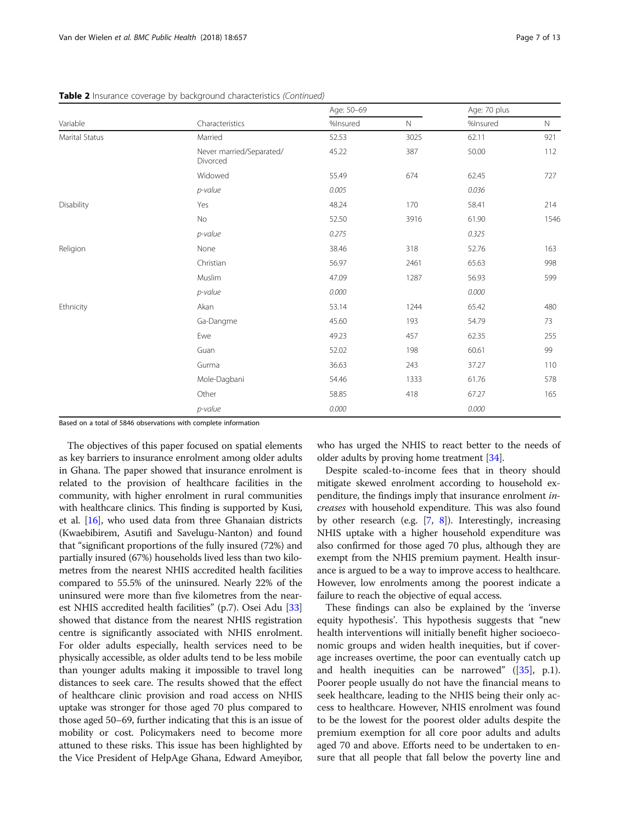|                |                                      | Age: 50-69 |              | Age: 70 plus |             |
|----------------|--------------------------------------|------------|--------------|--------------|-------------|
| Variable       | Characteristics                      | %Insured   | $\mathsf{N}$ | %Insured     | $\mathbb N$ |
| Marital Status | Married                              | 52.53      | 3025         | 62.11        | 921         |
|                | Never married/Separated/<br>Divorced | 45.22      | 387          | 50.00        | 112         |
|                | Widowed                              | 55.49      | 674          | 62.45        | 727         |
|                | p-value                              | 0.005      |              | 0.036        |             |
| Disability     | Yes                                  | 48.24      | 170          | 58.41        | 214         |
|                | $\rm No$                             | 52.50      | 3916         | 61.90        | 1546        |
|                | p-value                              | 0.275      |              | 0.325        |             |
| Religion       | None                                 | 38.46      | 318          | 52.76        | 163         |
|                | Christian                            | 56.97      | 2461         | 65.63        | 998         |
|                | Muslim                               | 47.09      | 1287         | 56.93        | 599         |
|                | p-value                              | 0.000      |              | 0.000        |             |
| Ethnicity      | Akan                                 | 53.14      | 1244         | 65.42        | 480         |
|                | Ga-Dangme                            | 45.60      | 193          | 54.79        | 73          |
|                | Ewe                                  | 49.23      | 457          | 62.35        | 255         |
|                | Guan                                 | 52.02      | 198          | 60.61        | 99          |
|                | Gurma                                | 36.63      | 243          | 37.27        | 110         |
|                | Mole-Dagbani                         | 54.46      | 1333         | 61.76        | 578         |
|                | Other                                | 58.85      | 418          | 67.27        | 165         |
|                | p-value                              | 0.000      |              | 0.000        |             |

Table 2 Insurance coverage by background characteristics (Continued)

Based on a total of 5846 observations with complete information

The objectives of this paper focused on spatial elements as key barriers to insurance enrolment among older adults in Ghana. The paper showed that insurance enrolment is related to the provision of healthcare facilities in the community, with higher enrolment in rural communities with healthcare clinics. This finding is supported by Kusi, et al. [\[16\]](#page-11-0), who used data from three Ghanaian districts (Kwaebibirem, Asutifi and Savelugu-Nanton) and found that "significant proportions of the fully insured (72%) and partially insured (67%) households lived less than two kilometres from the nearest NHIS accredited health facilities compared to 55.5% of the uninsured. Nearly 22% of the uninsured were more than five kilometres from the nearest NHIS accredited health facilities" (p.7). Osei Adu [[33](#page-12-0)] showed that distance from the nearest NHIS registration centre is significantly associated with NHIS enrolment. For older adults especially, health services need to be physically accessible, as older adults tend to be less mobile than younger adults making it impossible to travel long distances to seek care. The results showed that the effect of healthcare clinic provision and road access on NHIS uptake was stronger for those aged 70 plus compared to those aged 50–69, further indicating that this is an issue of mobility or cost. Policymakers need to become more attuned to these risks. This issue has been highlighted by the Vice President of HelpAge Ghana, Edward Ameyibor, who has urged the NHIS to react better to the needs of older adults by proving home treatment [[34\]](#page-12-0).

Despite scaled-to-income fees that in theory should mitigate skewed enrolment according to household expenditure, the findings imply that insurance enrolment increases with household expenditure. This was also found by other research (e.g. [[7,](#page-11-0) [8\]](#page-11-0)). Interestingly, increasing NHIS uptake with a higher household expenditure was also confirmed for those aged 70 plus, although they are exempt from the NHIS premium payment. Health insurance is argued to be a way to improve access to healthcare. However, low enrolments among the poorest indicate a failure to reach the objective of equal access.

These findings can also be explained by the 'inverse equity hypothesis'. This hypothesis suggests that "new health interventions will initially benefit higher socioeconomic groups and widen health inequities, but if coverage increases overtime, the poor can eventually catch up and health inequities can be narrowed" ([[35\]](#page-12-0), p.1). Poorer people usually do not have the financial means to seek healthcare, leading to the NHIS being their only access to healthcare. However, NHIS enrolment was found to be the lowest for the poorest older adults despite the premium exemption for all core poor adults and adults aged 70 and above. Efforts need to be undertaken to ensure that all people that fall below the poverty line and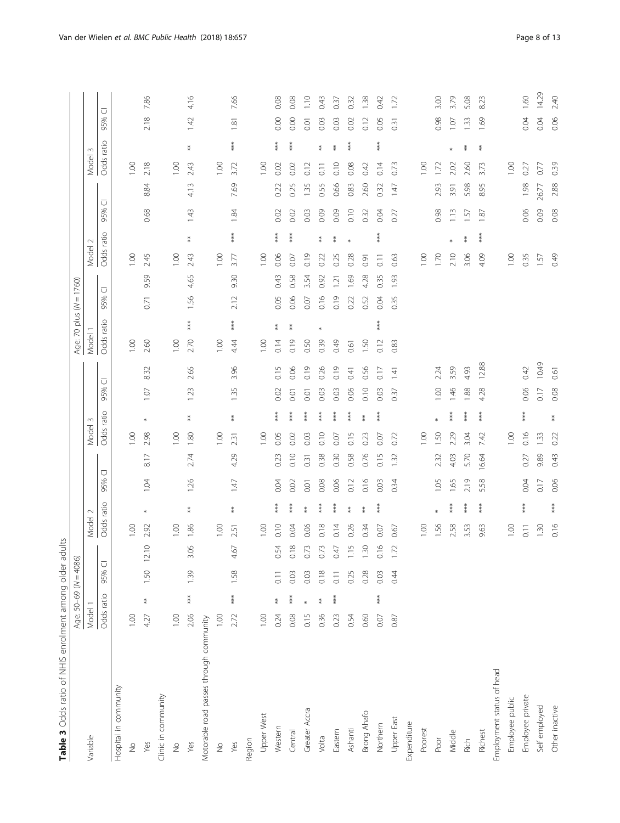<span id="page-7-0"></span>

|                                         | Age: 50-69 (N = 4086) |       |                          |                |            |       |        |       |                 |            |               |            |               | Age: 70 plus (N = 1760) |                |            |      |       |                   |            |          |       |
|-----------------------------------------|-----------------------|-------|--------------------------|----------------|------------|-------|--------|-------|-----------------|------------|---------------|------------|---------------|-------------------------|----------------|------------|------|-------|-------------------|------------|----------|-------|
| Variable                                | Model 1               |       |                          |                | Model      |       |        |       | $\sim$<br>Model |            |               | Model      |               |                         | Model          |            |      |       | Model             | S          |          |       |
|                                         | Odds ratio            |       | $\overline{\cup}$<br>95% |                | Odds ratio |       | 95% CI |       | Odds ratio      |            | ○<br>95%      | Odds ratio |               | ○<br>95%                |                | Odds ratio | 95%  | ○     |                   | Odds ratio | ○<br>95% |       |
| Hospital in community                   |                       |       |                          |                |            |       |        |       |                 |            |               |            |               |                         |                |            |      |       |                   |            |          |       |
| $\frac{1}{2}$                           | 00.1                  |       |                          |                | 1.00       |       |        |       | 00.1            |            |               | 1.00       |               |                         | 1.00           |            |      |       | 1.00              |            |          |       |
| Yes                                     | 4.27                  | ∗     | <b>1.50</b>              | 12.10          | 2.92       |       | 1.04   | 8.17  | $\ast$<br>2.98  |            | 832<br>1.07   | 2.60       |               | 9.59<br>0.71            | 2.45           |            | 0.68 | 8.84  | 2.18              |            | 2.18     | 7.86  |
| Clinic in community                     |                       |       |                          |                |            |       |        |       |                 |            |               |            |               |                         |                |            |      |       |                   |            |          |       |
| $\stackrel{\circ}{\geq}$                | 0.00                  |       |                          |                | 1.00       |       |        |       | 1.00            |            |               | 1.00       |               |                         | 1.00           |            |      |       | $\overline{1.00}$ |            |          |       |
| Yes                                     | 2.06                  | ***   | 1.39                     | 8<br>$\sim$    | 1.86       | $*$   | 1.26   | 2.74  | 1.80            | $*$        | 2.65<br>1.23  | 2.70       | $***$         | 4.65<br>1.56            | 2.43           | $\ddot{*}$ | 1.43 | 4.13  | 2.43              | $\ddot{*}$ | 142      | 4.16  |
| Motorable road passes through community |                       |       |                          |                |            |       |        |       |                 |            |               |            |               |                         |                |            |      |       |                   |            |          |       |
| $\frac{1}{2}$                           | 0.00                  |       |                          |                | 00.1       |       |        |       | 00.1            |            |               | 1.00       |               |                         | 001            |            |      |       | 1.00              |            |          |       |
| Yes                                     | 2.72                  | $***$ | 1.58                     | 67<br>4        | 2.51       | $*$   | 147    | 4.29  | 2.31            | $\ddot{*}$ | 3.96<br>1.35  | 4.44       | $***$         | 9.30<br>2.12            | 3.77           | $***$      | 1.84 | 7.69  | 3.72              | ***        | 1.81     | 7.66  |
| Region                                  |                       |       |                          |                |            |       |        |       |                 |            |               |            |               |                         |                |            |      |       |                   |            |          |       |
| <b>Upper West</b>                       | 1.00                  |       |                          |                | 1.00       |       |        |       | 1.00            |            |               | 1.00       |               |                         | 1.00           |            |      |       | 1.00              |            |          |       |
| Western                                 | 0.24                  |       | $\frac{1}{2}$            | 54<br>$\circ$  | 0.10       | ***   | 0.04   | 0.23  | 0.05            | $***$      | 0.15<br>0.02  | 0.14       | $\frac{*}{*}$ | 0.43<br>0.05            | 0.06           | $***$      | 0.02 | 0.22  | 0.02              | ***        | 0.00     | 0.08  |
| Central                                 | 0.08                  | ***   | 0.03                     | 0.18           | 0.04       | ***   | 0.02   | 0.10  | 0.02            | $***$      | 0.06<br>0.01  | 0.19       | $*$           | 0.58<br>0.06            | 0.07           | $***$      | 0.02 | 0.25  | 0.02              | ***        | 0.00     | 0.08  |
| Greater Accra                           | 0.15                  |       | 0.03                     | 0.73           | 0.06       | $*$   | 0.01   | 0.31  | 0.03            | ***        | 0.19<br>0.01  | 0.50       |               | 3.54<br>0.07            | 0.19           |            | 0.03 | 1.35  | 0.12              |            | 0.01     | 1.10  |
| Volta                                   | 0.36                  | $*$   | 0.18                     | 0.73           | 0.18       | ***   | 0.08   | 0.38  | 0.10            | $***$      | 0.26<br>0.03  | 0.39       | $\ast$        | 0.92<br>0.16            | 0.22           | $\ddot{*}$ | 0.09 | 0.55  | 0.11              | $*$        | 0.03     | 0.43  |
| Eastern                                 | 0.23                  | $***$ | 0.11                     | 0.47           | 0.14       | ***   | 0.06   | 0.30  | 0.07            | $***$      | 0.19<br>0.03  | 0.49       |               | $\overline{21}$<br>0.19 | 0.25           | 类          | 0.09 | 0.66  | 0.10              | 类          | 0.03     | 0.37  |
| Ashanti                                 | 0.54                  |       | 0.25                     | $-15$          | 0.26       | 类     | 0.12   | 0.58  | 0.15            | ***        | 0.41<br>0.06  | 0.61       |               | 1.69<br>0.22            | 0.28           | $\ast$     | 0.10 | 0.83  | 0.08              | ***        | 0.02     | 0.32  |
| Brong Ahafo                             | 0.60                  |       | 0.28                     | $\sim$         | 0.34       | $*$   | 0.16   | 0.76  | 0.23            | $*$        | 0.56<br>0.10  | 1.50       |               | 4.28<br>0.52            | 0.91           |            | 0.32 | 2.60  | 0.42              |            | 0.12     | 1.38  |
| Northern                                | 0.07                  | $***$ | 0.03                     | 0.16           | 0.07       | $***$ | 0.03   | 0.15  | 0.07            | $***$      | 0.17<br>0.03  | 0.12       | $***$         | 0.35<br>0.04            | $\overline{c}$ | ***        | 0.04 | 0.32  | 0.14              | ***        | 0.05     | 0.42  |
| Upper East                              | 0.87                  |       | 0.44                     | $\tilde{\sim}$ | 0.67       |       | 0.34   | 1.32  | 0.72            |            | 141<br>0.37   | 0.83       |               | 1.93<br>0.35            | 0.63           |            | 0.27 | 1.47  | 0.73              |            | 0.31     | 1.72  |
| Expenditure                             |                       |       |                          |                |            |       |        |       |                 |            |               |            |               |                         |                |            |      |       |                   |            |          |       |
| Poorest                                 |                       |       |                          |                | 1.00       |       |        |       | 00.1            |            |               |            |               |                         | 1.00           |            |      |       | 1.00              |            |          |       |
| Poor                                    |                       |       |                          |                | 1.56       |       | 1.05   | 2.32  | 1.50            |            | 2.24<br>0.00  |            |               |                         | 1.70           |            | 0.98 | 2.93  | 1.72              |            | 0.98     | 3.00  |
| Middle                                  |                       |       |                          |                | 2.58       | ***   | 1.65   | 4.03  | 2.29            | ***        | 3.59<br>1.46  |            |               |                         | 2.10           | ź.         | 1.13 | 3.91  | 2.02              |            | 107      | 3.79  |
| Rich                                    |                       |       |                          |                | 3.53       | ***   | 2.19   | 5.70  | 3.04            | $***$      | 4.93<br>1.88  |            |               |                         | 3.06           | $*$        | 1.57 | 5.98  | 2.60              | ∗          | 1.33     | 5.08  |
| Richest                                 |                       |       |                          |                | 9.63       | $***$ | 5.58   | 16.64 | 7.42            | $***$      | 12.88<br>4.28 |            |               |                         | 4.09           | ***        | 1.87 | 8.95  | 3.73              | ≸          | 1.69     | 8.23  |
| Employment status of head               |                       |       |                          |                |            |       |        |       |                 |            |               |            |               |                         |                |            |      |       |                   |            |          |       |
| Employee public                         |                       |       |                          |                | 1.00       |       |        |       | 1.00            |            |               |            |               |                         | 1.00           |            |      |       | 1.00              |            |          |       |
| Employee private                        |                       |       |                          |                | 0.11       | ***   | 0.04   | 0.27  | 0.16            | $***$      | 0.42<br>0.06  |            |               |                         | 0.35           |            | 0.06 | 1.98  | 0.27              |            | 0.04     | 1.60  |
| Self employed                           |                       |       |                          |                | 1.30       |       | 0.17   | 9.89  | 1.33            |            | 10.49<br>0.17 |            |               |                         | 1.57           |            | 0.09 | 26.77 | 0.77              |            | 0.04     | 14.29 |
| Other inactive                          |                       |       |                          |                | 0.16       | $***$ | 0.06   | 0.43  | 0.22            | $* *$      | 0.61<br>0.08  |            |               |                         | 0.49           |            | 0.08 | 2.88  | 0.39              |            | 0.06     | 2.40  |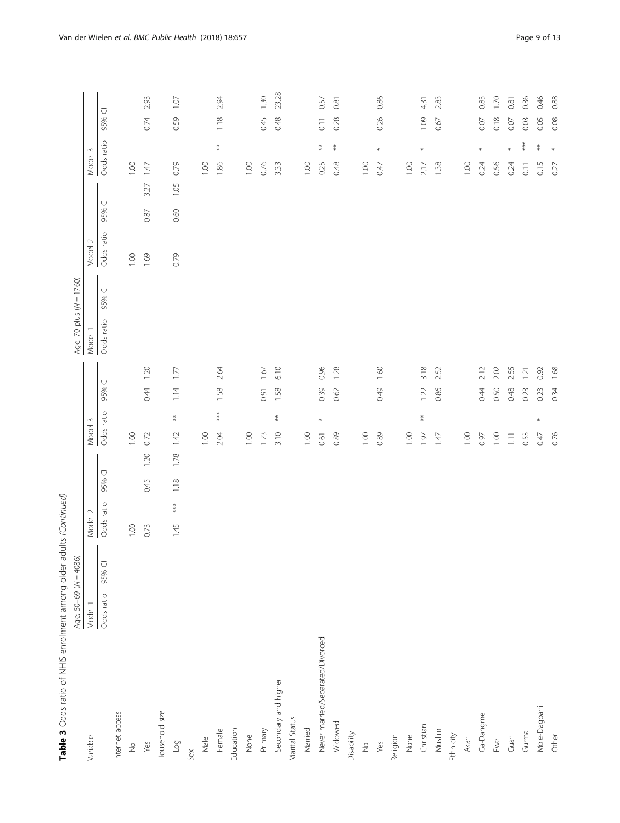|                                  | נ<br>גדונ<br>2) ラニュニュニュー | $\frac{1}{5}$    |              |                    |              |                         |            |          |      |                    |        |       |
|----------------------------------|--------------------------|------------------|--------------|--------------------|--------------|-------------------------|------------|----------|------|--------------------|--------|-------|
|                                  | Age: 50-69 (N = 4086)    |                  |              |                    |              | Age: 70 plus (N = 1760) |            |          |      |                    |        |       |
| Variable                         | Model 1                  | $\sim$<br>Model: |              | Model 3            |              | Model 1                 | Model 2    |          |      | Model 3            |        |       |
|                                  | 95% CI<br>Odds ratio     | Odds ratio       | 95% CI       | Odds ratio         | 95% CI       | 95% CI<br>Odds ratio    | Odds ratio | 95% CI   |      | Odds ratio         | 95% CI |       |
| Internet access                  |                          |                  |              |                    |              |                         |            |          |      |                    |        |       |
| $\stackrel{\circ}{\geq}$         |                          | 0.00             |              | 1.00               |              |                         | 1.00       |          |      | 1.00               |        |       |
| Yes                              |                          | 0.73             | 1.20<br>0.45 | 0.72               | 1.20<br>0.44 |                         | 1.69       | $0.87\,$ | 3.27 | 1.47               | 0.74   | 2.93  |
| Household size                   |                          |                  |              |                    |              |                         |            |          |      |                    |        |       |
| $\overline{a}$                   |                          | $***$<br>1.45    | 1.78<br>1.18 | $* *$<br>1.42      | 1.77<br>1.14 |                         | 0.79       | 0.60     | 1.05 | 0.79               | 0.59   | 1.07  |
| Sex                              |                          |                  |              |                    |              |                         |            |          |      |                    |        |       |
| Male                             |                          |                  |              | 1.00               |              |                         |            |          |      | 1.00               |        |       |
| Female                           |                          |                  |              | $***$<br>2.04      | 2.64<br>1.58 |                         |            |          |      | $\ddot{*}$<br>1.86 | 1.18   | 2.94  |
| Education                        |                          |                  |              |                    |              |                         |            |          |      |                    |        |       |
| None                             |                          |                  |              | 00.1               |              |                         |            |          |      | 0.00               |        |       |
| Primary                          |                          |                  |              | 1.23               | 1.67<br>0.91 |                         |            |          |      | 0.76               | 0.45   | 1.30  |
| Secondary and higher             |                          |                  |              | $\ast\ast$<br>3.10 | 6.10<br>1.58 |                         |            |          |      | 3.33               | 0.48   | 23.28 |
| Marital Status                   |                          |                  |              |                    |              |                         |            |          |      |                    |        |       |
| Married                          |                          |                  |              | 00.1               |              |                         |            |          |      | 1.00               |        |       |
| Never married/Separated/Divorced |                          |                  |              | $\ast$<br>0.61     | 0.96<br>0.39 |                         |            |          |      | $*$<br>0.25        | 0.11   | 0.57  |
| Widowed                          |                          |                  |              | 0.89               | 1.28<br>0.62 |                         |            |          |      | $*$<br>0.48        | 0.28   | 0.81  |
| Disability                       |                          |                  |              |                    |              |                         |            |          |      |                    |        |       |
| $\stackrel{\circ}{\geq}$         |                          |                  |              | 1.00               |              |                         |            |          |      | 1.00               |        |       |
| Yes                              |                          |                  |              | 0.89               | 1.60<br>0.49 |                         |            |          |      | $\ast$<br>0.47     | 0.26   | 0.86  |
| Religion                         |                          |                  |              |                    |              |                         |            |          |      |                    |        |       |
| None                             |                          |                  |              | 1.00               |              |                         |            |          |      | 0.00               |        |       |
| Christian                        |                          |                  |              | $* *$<br>1.97      | 3.18<br>1.22 |                         |            |          |      | $\ast$<br>2.17     | 1.09   | 4.31  |
| Muslim                           |                          |                  |              | 1.47               | 2.52<br>0.86 |                         |            |          |      | 1.38               | 0.67   | 2.83  |
| Ethnicity                        |                          |                  |              |                    |              |                         |            |          |      |                    |        |       |
| Akan                             |                          |                  |              | 0.00               |              |                         |            |          |      | 1.00               |        |       |
| Ga-Dangme                        |                          |                  |              | 0.97               | 2.12<br>0.44 |                         |            |          |      | $\ast$<br>0.24     | 0.07   | 0.83  |
| Ewe                              |                          |                  |              | 1.00               | 2.02<br>0.50 |                         |            |          |      | 0.56               | 0.18   | 1.70  |
| Guan                             |                          |                  |              | $\Xi$              | 2.55<br>0.48 |                         |            |          |      | $\ast$<br>0.24     | 0.07   | 0.81  |
| Gurma                            |                          |                  |              | 0.53               | 121<br>0.23  |                         |            |          |      | ***<br>0.11        | 0.03   | 0.36  |
| Mole-Dagbani                     |                          |                  |              | $\ast$<br>0.47     | 0.92<br>0.23 |                         |            |          |      | $*$<br>0.15        | 0.05   | 0.46  |
| Other                            |                          |                  |              | 0.76               | 1.68<br>0.34 |                         |            |          |      | $\ast$<br>0.27     | 0.08   | 0.88  |

Table 3 Odds ratio of NHIS enrolment among older adults (Continued) **Table 3** Odds ratio of NHIS enrolment among older adults (Continued)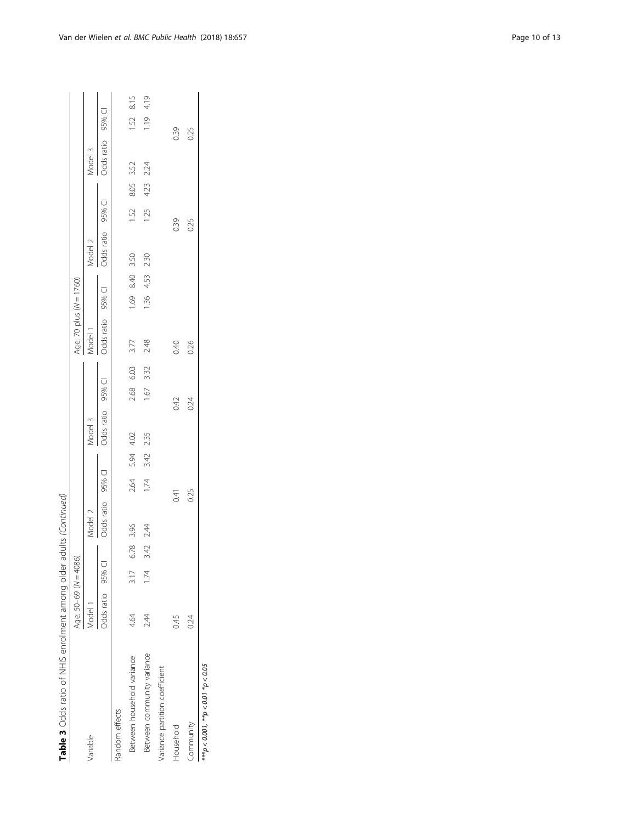| Table 3 Odds ratio of NHIS enrolment among older adults (Continued) |                       |      |                |                   |      |      |                   |      |      |                         |              |                   |      |      |                   |                         |
|---------------------------------------------------------------------|-----------------------|------|----------------|-------------------|------|------|-------------------|------|------|-------------------------|--------------|-------------------|------|------|-------------------|-------------------------|
|                                                                     | Age: 50-69 (N = 4086) |      |                |                   |      |      |                   |      |      | Age: 70 plus (N = 1760) |              |                   |      |      |                   |                         |
| <b>Jariable</b>                                                     | Model <sup>-</sup>    |      |                | Model 2           |      |      | Model 3           |      |      | Model                   |              | Model 2           |      |      | Model 3           |                         |
|                                                                     | Ddds ratio 95% Cl     |      |                | Ddds ratio 95% Cl |      |      | Odds ratio 95% CI |      |      | Ddds ratio 95% Cl       |              | Odds ratio 95% CI |      |      | Odds ratio 95% CI |                         |
| Random effects                                                      |                       |      |                |                   |      |      |                   |      |      |                         |              |                   |      |      |                   |                         |
| Between household variance                                          | 4.64                  | 3.17 | 6.78           | 3.96              | 2.64 | 5.94 | 4.02              | 2.68 | 6.03 | 3.77                    | 8.40<br>1.69 | 3.50              | 1.52 | 8.05 | 3.52              | 8.15<br>1.52            |
| Between community variance                                          | 24                    | 1.74 | $\overline{4}$ | 2.44              | 174  | 3.42 | 235               | 1.67 | 332  | 2.48                    | 4.53<br>1.36 | 2.30              | 1.25 | 4.23 | 2.24              | 4.19<br>$\frac{10}{10}$ |
| /ariance partition coefficient                                      |                       |      |                |                   |      |      |                   |      |      |                         |              |                   |      |      |                   |                         |
| <b>Tousehold</b>                                                    | 0.45                  |      |                |                   | 0.41 |      |                   | 0.42 |      | 0.40                    |              |                   | 0.39 |      |                   | 0.39                    |
| Community                                                           | 0.24                  |      |                |                   | 0.25 |      |                   | 0.24 |      | 0.26                    |              |                   | 0.25 |      |                   | 0.25                    |
| $^{***}p < 0.001, ^{***}p < 0.01$ * $p < 0.05$                      |                       |      |                |                   |      |      |                   |      |      |                         |              |                   |      |      |                   |                         |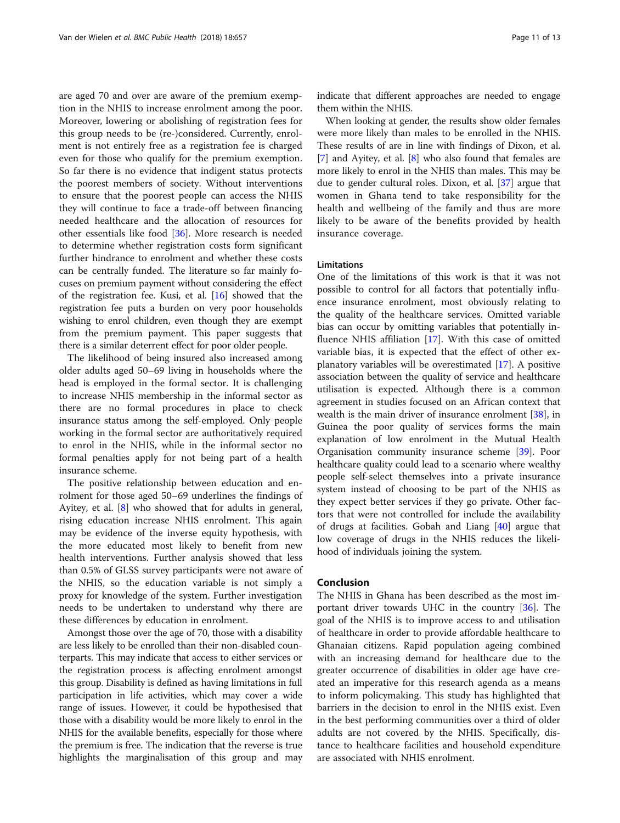are aged 70 and over are aware of the premium exemption in the NHIS to increase enrolment among the poor. Moreover, lowering or abolishing of registration fees for this group needs to be (re-)considered. Currently, enrolment is not entirely free as a registration fee is charged even for those who qualify for the premium exemption. So far there is no evidence that indigent status protects the poorest members of society. Without interventions to ensure that the poorest people can access the NHIS they will continue to face a trade-off between financing needed healthcare and the allocation of resources for other essentials like food [\[36\]](#page-12-0). More research is needed to determine whether registration costs form significant further hindrance to enrolment and whether these costs can be centrally funded. The literature so far mainly focuses on premium payment without considering the effect of the registration fee. Kusi, et al. [\[16\]](#page-11-0) showed that the registration fee puts a burden on very poor households wishing to enrol children, even though they are exempt from the premium payment. This paper suggests that there is a similar deterrent effect for poor older people.

The likelihood of being insured also increased among older adults aged 50–69 living in households where the head is employed in the formal sector. It is challenging to increase NHIS membership in the informal sector as there are no formal procedures in place to check insurance status among the self-employed. Only people working in the formal sector are authoritatively required to enrol in the NHIS, while in the informal sector no formal penalties apply for not being part of a health insurance scheme.

The positive relationship between education and enrolment for those aged 50–69 underlines the findings of Ayitey, et al. [[8\]](#page-11-0) who showed that for adults in general, rising education increase NHIS enrolment. This again may be evidence of the inverse equity hypothesis, with the more educated most likely to benefit from new health interventions. Further analysis showed that less than 0.5% of GLSS survey participants were not aware of the NHIS, so the education variable is not simply a proxy for knowledge of the system. Further investigation needs to be undertaken to understand why there are these differences by education in enrolment.

Amongst those over the age of 70, those with a disability are less likely to be enrolled than their non-disabled counterparts. This may indicate that access to either services or the registration process is affecting enrolment amongst this group. Disability is defined as having limitations in full participation in life activities, which may cover a wide range of issues. However, it could be hypothesised that those with a disability would be more likely to enrol in the NHIS for the available benefits, especially for those where the premium is free. The indication that the reverse is true highlights the marginalisation of this group and may

indicate that different approaches are needed to engage them within the NHIS.

When looking at gender, the results show older females were more likely than males to be enrolled in the NHIS. These results of are in line with findings of Dixon, et al. [[7\]](#page-11-0) and Ayitey, et al. [\[8\]](#page-11-0) who also found that females are more likely to enrol in the NHIS than males. This may be due to gender cultural roles. Dixon, et al. [\[37\]](#page-12-0) argue that women in Ghana tend to take responsibility for the health and wellbeing of the family and thus are more likely to be aware of the benefits provided by health insurance coverage.

#### Limitations

One of the limitations of this work is that it was not possible to control for all factors that potentially influence insurance enrolment, most obviously relating to the quality of the healthcare services. Omitted variable bias can occur by omitting variables that potentially influence NHIS affiliation [[17\]](#page-11-0). With this case of omitted variable bias, it is expected that the effect of other explanatory variables will be overestimated [[17\]](#page-11-0). A positive association between the quality of service and healthcare utilisation is expected. Although there is a common agreement in studies focused on an African context that wealth is the main driver of insurance enrolment [\[38](#page-12-0)], in Guinea the poor quality of services forms the main explanation of low enrolment in the Mutual Health Organisation community insurance scheme [[39](#page-12-0)]. Poor healthcare quality could lead to a scenario where wealthy people self-select themselves into a private insurance system instead of choosing to be part of the NHIS as they expect better services if they go private. Other factors that were not controlled for include the availability of drugs at facilities. Gobah and Liang [[40\]](#page-12-0) argue that low coverage of drugs in the NHIS reduces the likelihood of individuals joining the system.

# Conclusion

The NHIS in Ghana has been described as the most important driver towards UHC in the country [\[36](#page-12-0)]. The goal of the NHIS is to improve access to and utilisation of healthcare in order to provide affordable healthcare to Ghanaian citizens. Rapid population ageing combined with an increasing demand for healthcare due to the greater occurrence of disabilities in older age have created an imperative for this research agenda as a means to inform policymaking. This study has highlighted that barriers in the decision to enrol in the NHIS exist. Even in the best performing communities over a third of older adults are not covered by the NHIS. Specifically, distance to healthcare facilities and household expenditure are associated with NHIS enrolment.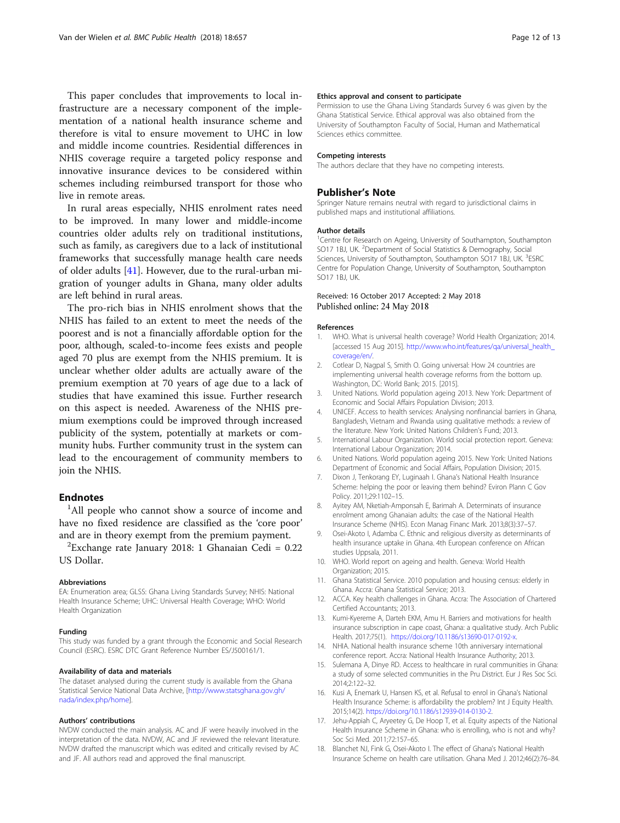<span id="page-11-0"></span>This paper concludes that improvements to local infrastructure are a necessary component of the implementation of a national health insurance scheme and therefore is vital to ensure movement to UHC in low and middle income countries. Residential differences in NHIS coverage require a targeted policy response and innovative insurance devices to be considered within schemes including reimbursed transport for those who live in remote areas.

In rural areas especially, NHIS enrolment rates need to be improved. In many lower and middle-income countries older adults rely on traditional institutions, such as family, as caregivers due to a lack of institutional frameworks that successfully manage health care needs of older adults [\[41\]](#page-12-0). However, due to the rural-urban migration of younger adults in Ghana, many older adults are left behind in rural areas.

The pro-rich bias in NHIS enrolment shows that the NHIS has failed to an extent to meet the needs of the poorest and is not a financially affordable option for the poor, although, scaled-to-income fees exists and people aged 70 plus are exempt from the NHIS premium. It is unclear whether older adults are actually aware of the premium exemption at 70 years of age due to a lack of studies that have examined this issue. Further research on this aspect is needed. Awareness of the NHIS premium exemptions could be improved through increased publicity of the system, potentially at markets or community hubs. Further community trust in the system can lead to the encouragement of community members to join the NHIS.

# **Endnotes**

<sup>1</sup>All people who cannot show a source of income and have no fixed residence are classified as the 'core poor' and are in theory exempt from the premium payment.

 $\textdegree$ Exchange rate January 2018: 1 Ghanaian Cedi = 0.22 US Dollar.

#### Abbreviations

EA: Enumeration area; GLSS: Ghana Living Standards Survey; NHIS: National Health Insurance Scheme; UHC: Universal Health Coverage; WHO: World Health Organization

#### Funding

This study was funded by a grant through the Economic and Social Research Council (ESRC). ESRC DTC Grant Reference Number ES/J500161/1.

#### Availability of data and materials

The dataset analysed during the current study is available from the Ghana Statistical Service National Data Archive, [[http://www.statsghana.gov.gh/](http://www.statsghana.gov.gh/nada/index.php/home) [nada/index.php/home](http://www.statsghana.gov.gh/nada/index.php/home)].

#### Authors' contributions

NVDW conducted the main analysis. AC and JF were heavily involved in the interpretation of the data. NVDW, AC and JF reviewed the relevant literature. NVDW drafted the manuscript which was edited and critically revised by AC and JF. All authors read and approved the final manuscript.

#### Ethics approval and consent to participate

Permission to use the Ghana Living Standards Survey 6 was given by the Ghana Statistical Service. Ethical approval was also obtained from the University of Southampton Faculty of Social, Human and Mathematical Sciences ethics committee.

#### Competing interests

The authors declare that they have no competing interests.

# Publisher's Note

Springer Nature remains neutral with regard to jurisdictional claims in published maps and institutional affiliations.

#### Author details

<sup>1</sup> Centre for Research on Ageing, University of Southampton, Southampton SO17 1BJ, UK. <sup>2</sup>Department of Social Statistics & Demography, Social Sciences, University of Southampton, Southampton SO17 1BJ, UK. <sup>3</sup>ESRC Centre for Population Change, University of Southampton, Southampton SO17 1BJ, UK.

### Received: 16 October 2017 Accepted: 2 May 2018 Published online: 24 May 2018

#### **References**

- 1. WHO. What is universal health coverage? World Health Organization; 2014. [accessed 15 Aug 2015]. [http://www.who.int/features/qa/universal\\_health\\_](http://www.who.int/features/qa/universal_health_coverage/en/) [coverage/en/.](http://www.who.int/features/qa/universal_health_coverage/en/)
- 2. Cotlear D, Nagpal S, Smith O. Going universal: How 24 countries are implementing universal health coverage reforms from the bottom up. Washington, DC: World Bank; 2015. [2015].
- 3. United Nations. World population ageing 2013. New York: Department of Economic and Social Affairs Population Division; 2013.
- 4. UNICEF. Access to health services: Analysing nonfinancial barriers in Ghana, Bangladesh, Vietnam and Rwanda using qualitative methods: a review of the literature. New York: United Nations Children's Fund; 2013.
- 5. International Labour Organization. World social protection report. Geneva: International Labour Organization; 2014.
- 6. United Nations. World population ageing 2015. New York: United Nations Department of Economic and Social Affairs, Population Division; 2015.
- 7. Dixon J, Tenkorang EY, Luginaah I. Ghana's National Health Insurance Scheme: helping the poor or leaving them behind? Eviron Plann C Gov Policy. 2011;29:1102–15.
- 8. Ayitey AM, Nketiah-Amponsah E, Barimah A. Determinats of insurance enrolment among Ghanaian adults: the case of the National Health Insurance Scheme (NHIS). Econ Manag Financ Mark. 2013;8(3):37–57.
- 9. Osei-Akoto I, Adamba C. Ethnic and religious diversity as determinants of health insurance uptake in Ghana. 4th European conference on African studies Uppsala, 2011.
- 10. WHO. World report on ageing and health. Geneva: World Health Organization; 2015.
- 11. Ghana Statistical Service. 2010 population and housing census: elderly in Ghana. Accra: Ghana Statistical Service; 2013.
- 12. ACCA. Key health challenges in Ghana. Accra: The Association of Chartered Certified Accountants; 2013.
- 13. Kumi-Kyereme A, Darteh EKM, Amu H. Barriers and motivations for health insurance subscription in cape coast, Ghana: a qualitative study. Arch Public Health. 2017;75(1). [https://doi.org/10.1186/s13690-017-0192-x.](https://doi.org/10.1186/s13690-017-0192-x)
- 14. NHIA. National health insurance scheme 10th anniversary international conference report. Accra: National Health Insurance Authority; 2013.
- 15. Sulemana A, Dinye RD. Access to healthcare in rural communities in Ghana: a study of some selected communities in the Pru District. Eur J Res Soc Sci. 2014;2:122–32.
- 16. Kusi A, Enemark U, Hansen KS, et al. Refusal to enrol in Ghana's National Health Insurance Scheme: is affordability the problem? Int J Equity Health. 2015;14(2). <https://doi.org/10.1186/s12939-014-0130-2>.
- 17. Jehu-Appiah C, Aryeetey G, De Hoop T, et al. Equity aspects of the National Health Insurance Scheme in Ghana: who is enrolling, who is not and why? Soc Sci Med. 2011;72:157–65.
- 18. Blanchet NJ, Fink G, Osei-Akoto I. The effect of Ghana's National Health Insurance Scheme on health care utilisation. Ghana Med J. 2012;46(2):76–84.